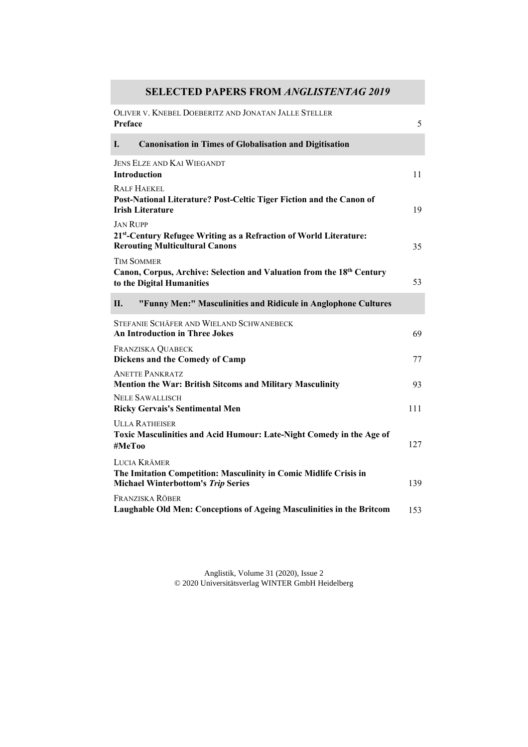## **SELECTED PAPERS FROM** *ANGLISTENTAG 2019*

| OLIVER V. KNEBEL DOEBERITZ AND JONATAN JALLE STELLER<br>Preface                                                                | 5   |
|--------------------------------------------------------------------------------------------------------------------------------|-----|
| <b>Canonisation in Times of Globalisation and Digitisation</b><br>L.                                                           |     |
| <b>JENS ELZE AND KAI WIEGANDT</b><br><b>Introduction</b>                                                                       | 11  |
| <b>RALF HAEKEL</b><br>Post-National Literature? Post-Celtic Tiger Fiction and the Canon of<br><b>Irish Literature</b>          | 19  |
| <b>JAN RUPP</b><br>21st-Century Refugee Writing as a Refraction of World Literature:<br><b>Rerouting Multicultural Canons</b>  | 35  |
| <b>TIM SOMMER</b><br>Canon, Corpus, Archive: Selection and Valuation from the 18th Century<br>to the Digital Humanities        | 53  |
| "Funny Men:" Masculinities and Ridicule in Anglophone Cultures<br>Н.                                                           |     |
| STEFANIE SCHÄFER AND WIELAND SCHWANEBECK<br><b>An Introduction in Three Jokes</b>                                              | 69  |
| FRANZISKA QUABECK<br>Dickens and the Comedy of Camp                                                                            | 77  |
| <b>ANETTE PANKRATZ</b><br><b>Mention the War: British Sitcoms and Military Masculinity</b>                                     | 93  |
| <b>NELE SAWALLISCH</b><br><b>Ricky Gervais's Sentimental Men</b>                                                               | 111 |
| <b>ULLA RATHEISER</b><br>Toxic Masculinities and Acid Humour: Late-Night Comedy in the Age of<br>#MeToo                        | 127 |
| LUCIA KRÄMER<br>The Imitation Competition: Masculinity in Comic Midlife Crisis in<br><b>Michael Winterbottom's Trip Series</b> | 139 |
| FRANZISKA RÖBER<br>Laughable Old Men: Conceptions of Ageing Masculinities in the Britcom                                       | 153 |